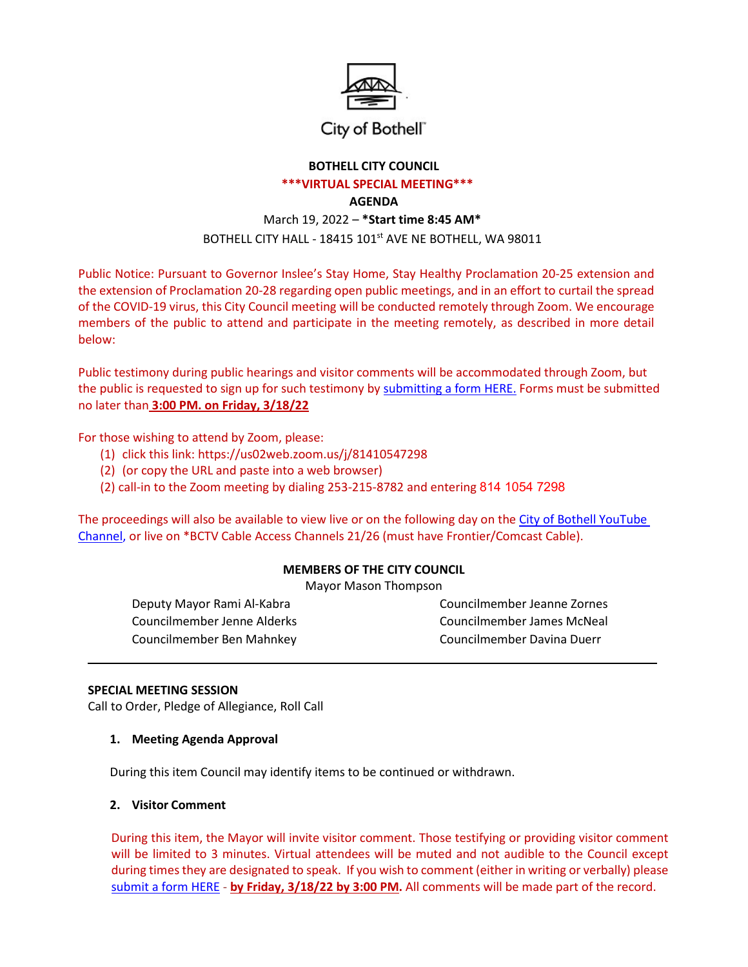

## City of Bothell"

# **BOTHELL CITY COUNCIL**

## **\*\*\*VIRTUAL SPECIAL MEETING\*\*\***

## **AGENDA**

# March 19, 2022 – **\*Start time 8:45 AM\*** BOTHELL CITY HALL - 18415 101<sup>st</sup> AVE NE BOTHELL, WA 98011

Public Notice: Pursuant to Governor Inslee's Stay Home, Stay Healthy Proclamation 20-25 extension and the extension of Proclamation 20-28 regarding open public meetings, and in an effort to curtail the spread of the COVID-19 virus, this City Council meeting will be conducted remotely through Zoom. We encourage members of the public to attend and participate in the meeting remotely, as described in more detail below:

Public testimony during public hearings and visitor comments will be accommodated through Zoom, but the public is requested to sign up for such testimony by [submitting a form HERE.](http://www.ci.bothell.wa.us/FormCenter/City-Clerk-15/Public-Comment-SignUp-Verbal-or-Written-209) Forms must be submitted no later than **3:00 PM. on Friday, 3/18/22**

For those wishing to attend by Zoom, please:

- (1) click this link: https://us02web.zoom.us/j/81410547298
- (2) (or copy the URL and paste into a web browser)
- (2) call-in to the Zoom meeting by dialing 253-215-8782 and entering 814 1054 7298

The proceedings will also be available to view live or on the following day on the City of Bothell [YouTube](https://www.youtube.com/user/CityofBothell/featured) [Channel,](https://www.youtube.com/user/CityofBothell/featured) or live on \*BCTV Cable Access Channels 21/26 (must have Frontier/Comcast Cable).

## **MEMBERS OF THE CITY COUNCIL**

Mayor Mason Thompson

Councilmember Ben Mahnkey Councilmember Davina Duerr

Deputy Mayor Rami Al-Kabra Councilmember Jeanne Zornes Councilmember Jenne Alderks Councilmember James McNeal

## **SPECIAL MEETING SESSION**

Call to Order, Pledge of Allegiance, Roll Call

### **1. Meeting Agenda Approval**

During this item Council may identify items to be continued or withdrawn.

### **2. Visitor Comment**

During this item, the Mayor will invite visitor comment. Those testifying or providing visitor comment will be limited to 3 minutes. Virtual attendees will be muted and not audible to the Council except during times they are designated to speak. If you wish to comment (either in writing or verbally) please [submit a form HERE](http://www.ci.bothell.wa.us/FormCenter/City-Clerk-15/Remote-Public-Comment-SignUp-209) - **by Friday, 3/18/22 by 3:00 PM.** All comments will be made part of the record.